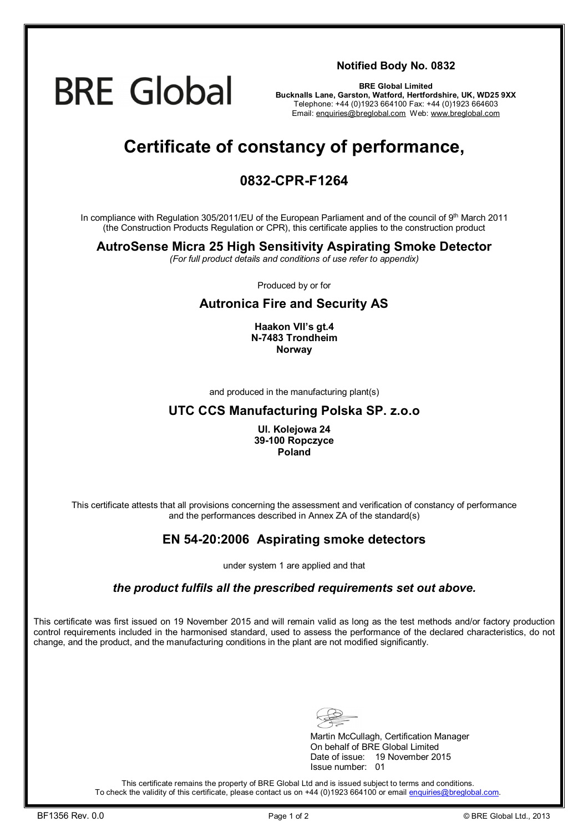# **BRE Global**

#### **Notified Body No. 0832**

**BRE Global Limited Bucknalls Lane, Garston, Watford, Hertfordshire, UK, WD25 9XX**  Telephone: +44 (0)1923 664100 Fax: +44 (0)1923 664603 Email: [enquiries@breglobal.com](mailto:enquiries@breglobal.com) Web: [www.breglobal.com](http://www.breglobal.com)

## **Certificate of constancy of performance,**

### **0832-CPR-F1264**

In compliance with Regulation 305/2011/EU of the European Parliament and of the council of 9<sup>th</sup> March 2011 (the Construction Products Regulation or CPR), this certificate applies to the construction product

#### **AutroSense Micra 25 High Sensitivity Aspirating Smoke Detector**

*(For full product details and conditions of use refer to appendix)* 

Produced by or for

#### **Autronica Fire and Security AS**

**Haakon VII's gt.4 N-7483 Trondheim Norway** 

and produced in the manufacturing plant(s)

#### **UTC CCS Manufacturing Polska SP. z.o.o**

**Ul. Kolejowa 24 39-100 Ropczyce Poland** 

This certificate attests that all provisions concerning the assessment and verification of constancy of performance and the performances described in Annex ZA of the standard(s)

#### **EN 54-20:2006 Aspirating smoke detectors**

under system 1 are applied and that

#### *the product fulfils all the prescribed requirements set out above.*

This certificate was first issued on 19 November 2015 and will remain valid as long as the test methods and/or factory production control requirements included in the harmonised standard, used to assess the performance of the declared characteristics, do not change, and the product, and the manufacturing conditions in the plant are not modified significantly.

Martin McCullagh, Certification Manager On behalf of BRE Global Limited Date of issue: 19 November 2015 Issue number: 01

This certificate remains the property of BRE Global Ltd and is issued subject to terms and conditions. To check the validity of this certificate, please contact us on +44 (0)1923 664100 or email [enquiries@breglobal.com.](mailto:enquiries@breglobal.com)